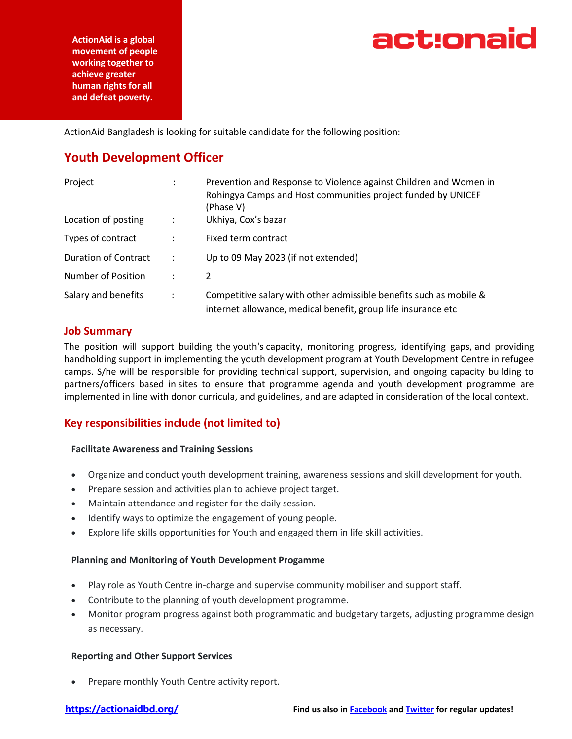

**ActionAid is a global movement of people working together to achieve greater human rights for all and defeat poverty.**

ActionAid Bangladesh is looking for suitable candidate for the following position:

# **Youth Development Officer**

| Project                     |                | Prevention and Response to Violence against Children and Women in<br>Rohingya Camps and Host communities project funded by UNICEF<br>(Phase V) |
|-----------------------------|----------------|------------------------------------------------------------------------------------------------------------------------------------------------|
| Location of posting         | $\ddot{\cdot}$ | Ukhiya, Cox's bazar                                                                                                                            |
| Types of contract           |                | Fixed term contract                                                                                                                            |
| <b>Duration of Contract</b> | ÷              | Up to 09 May 2023 (if not extended)                                                                                                            |
| Number of Position          |                | 2                                                                                                                                              |
| Salary and benefits         |                | Competitive salary with other admissible benefits such as mobile &<br>internet allowance, medical benefit, group life insurance etc            |

### **Job Summary**

The position will support building the youth's capacity, monitoring progress, identifying gaps, and providing handholding support in implementing the youth development program at Youth Development Centre in refugee camps. S/he will be responsible for providing technical support, supervision, and ongoing capacity building to partners/officers based in sites to ensure that programme agenda and youth development programme are implemented in line with donor curricula, and guidelines, and are adapted in consideration of the local context.

# **Key responsibilities include (not limited to)**

### **Facilitate Awareness and Training Sessions**

- Organize and conduct youth development training, awareness sessions and skill development for youth.
- Prepare session and activities plan to achieve project target.
- Maintain attendance and register for the daily session.
- Identify ways to optimize the engagement of young people.
- Explore life skills opportunities for Youth and engaged them in life skill activities.

### **Planning and Monitoring of Youth Development Progamme**

- Play role as Youth Centre in-charge and supervise community mobiliser and support staff.
- Contribute to the planning of youth development programme.
- Monitor program progress against both programmatic and budgetary targets, adjusting programme design as necessary.

### **Reporting and Other Support Services**

Prepare monthly Youth Centre activity report.